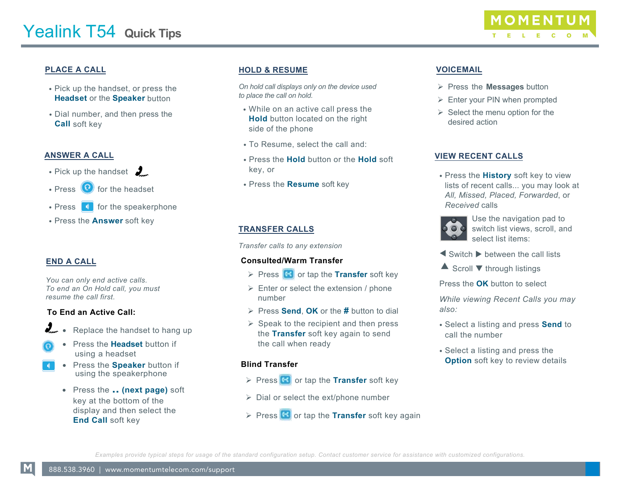

# **PLACE A CALL**

- Pick up the handset, or press the **Headset** or the **Speaker** button
- Dial number, and then press the **Call** soft key

## **ANSWER A CALL**

- Pick up the handset  $\frac{1}{2}$
- Press  $\left( \bullet \right)$  for the headset
- $\cdot$  Press  $\begin{array}{|c|} \hline \end{array}$  for the speakerphone
- Press the **Answer** soft key

## **END A CALL**

*You can only end active calls. To end an On Hold call, you must resume the call first.* 

#### **To End an Active Call:**

- $\frac{1}{2}$  Replace the handset to hang up
- Press the **Headset** button if using a headset
- Press the **Speaker** button if using the speakerphone
	- Press the **.. (next page)** soft key at the bottom of the display and then select the **End Call** soft key

## **HOLD & RESUME**

*On hold call displays only on the device used to place the call on hold.*

- While on an active call press the **Hold** button located on the right side of the phone
- To Resume, select the call and:
- Press the **Hold** button or the **Hold** soft key, or
- Press the **Resume** soft key

## **TRANSFER CALLS**

*Transfer calls to any extension*

#### **Consulted/Warm Transfer**

- **Press G** or tap the **Transfer** soft key
- $\triangleright$  Enter or select the extension / phone number
- Press **Send**, **OK** or the **#** button to dial
- $\triangleright$  Speak to the recipient and then press the **Transfer** soft key again to send the call when ready

## **Blind Transfer**

- **Press G** or tap the **Transfer** soft key
- $\triangleright$  Dial or select the ext/phone number
- $\triangleright$  Press  $\left($ **S** or tap the **Transfer** soft key again

## **VOICEMAIL**

- Press the **Messages** button
- $\triangleright$  Enter your PIN when prompted
- $\triangleright$  Select the menu option for the desired action

#### **VIEW RECENT CALLS**

• Press the **History** soft key to view lists of recent calls... you may look at *All, Missed, Placed, Forwarded*, or *Received* calls



Use the navigation pad to switch list views, scroll, and select list items:

- $\blacktriangleleft$  Switch  $\blacktriangleright$  between the call lists
- $\triangle$  Scroll  $\nabla$  through listings
- Press the **OK** button to select

*While viewing Recent Calls you may also:* 

- Select a listing and press **Send** to call the number
- Select a listing and press the **Option** soft key to review details